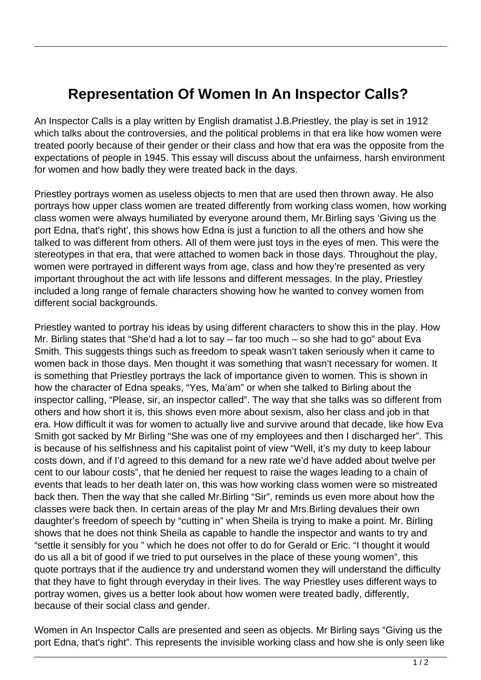## **Representation Of Women In An Inspector Calls?**

An Inspector Calls is a play written by English dramatist J.B.Priestley, the play is set in 1912 which talks about the controversies, and the political problems in that era like how women were treated poorly because of their gender or their class and how that era was the opposite from the expectations of people in 1945. This essay will discuss about the unfairness, harsh environment for women and how badly they were treated back in the days.

Priestley portrays women as useless objects to men that are used then thrown away. He also portrays how upper class women are treated differently from working class women, how working class women were always humiliated by everyone around them, Mr.Birling says 'Giving us the port Edna, that's right', this shows how Edna is just a function to all the others and how she talked to was different from others. All of them were just toys in the eyes of men. This were the stereotypes in that era, that were attached to women back in those days. Throughout the play, women were portrayed in different ways from age, class and how they're presented as very important throughout the act with life lessons and different messages. In the play, Priestley included a long range of female characters showing how he wanted to convey women from different social backgrounds.

Priestley wanted to portray his ideas by using different characters to show this in the play. How Mr. Birling states that "She'd had a lot to say – far too much – so she had to go" about Eva Smith. This suggests things such as freedom to speak wasn't taken seriously when it came to women back in those days. Men thought it was something that wasn't necessary for women. It is something that Priestley portrays the lack of importance given to women. This is shown in how the character of Edna speaks, "Yes, Ma'am" or when she talked to Birling about the inspector calling, "Please, sir, an inspector called". The way that she talks was so different from others and how short it is, this shows even more about sexism, also her class and job in that era. How difficult it was for women to actually live and survive around that decade, like how Eva Smith got sacked by Mr Birling "She was one of my employees and then I discharged her". This is because of his selfishness and his capitalist point of view "Well, it's my duty to keep labour costs down, and if I'd agreed to this demand for a new rate we'd have added about twelve per cent to our labour costs", that he denied her request to raise the wages leading to a chain of events that leads to her death later on, this was how working class women were so mistreated back then. Then the way that she called Mr.Birling "Sir", reminds us even more about how the classes were back then. In certain areas of the play Mr and Mrs.Birling devalues their own daughter's freedom of speech by "cutting in" when Sheila is trying to make a point. Mr. Birling shows that he does not think Sheila as capable to handle the inspector and wants to try and "settle it sensibly for you " which he does not offer to do for Gerald or Eric. "I thought it would do us all a bit of good if we tried to put ourselves in the place of these young women", this quote portrays that if the audience try and understand women they will understand the difficulty that they have to fight through everyday in their lives. The way Priestley uses different ways to portray women, gives us a better look about how women were treated badly, differently, because of their social class and gender.

Women in An Inspector Calls are presented and seen as objects. Mr Birling says "Giving us the port Edna, that's right". This represents the invisible working class and how she is only seen like